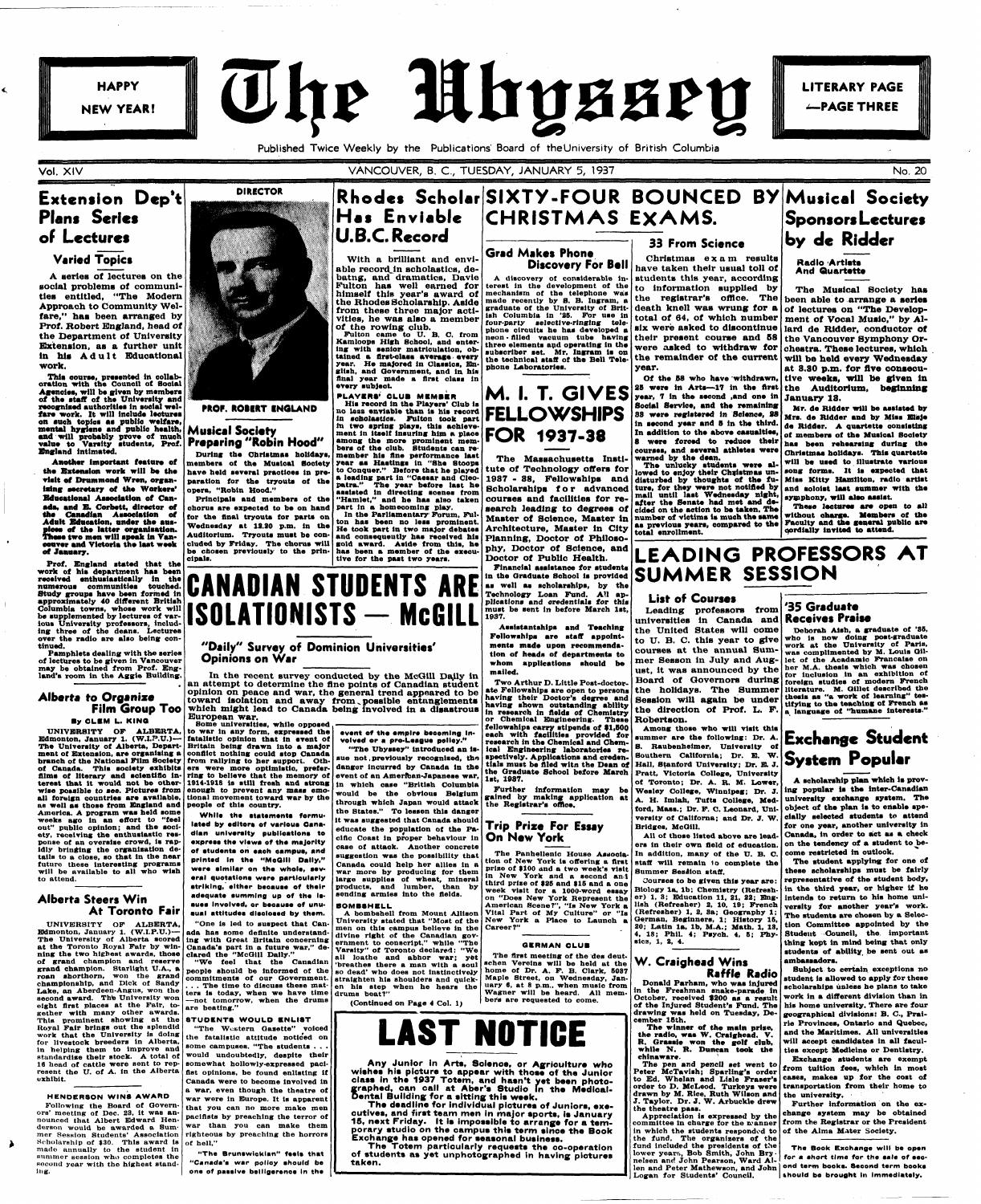

**LITERARY PAGE** -PAGE THREE

**Published Twice Weekly by the Publications' Board of the University of British Columbia** 

**Vol. XI V KSSS =** 

#### VANCOUVER, B. C., TUESDAY, JANUARY 5, 1937 No. 20

### **Extension Dep't Plant Series of Lectures**

#### **Varied Topics**

**A series of lectures on the social problems of communities entitled, "The Modern Approach to Community Welfare," has been arranged by Prof. Robert England, head of the Department of University Extension, as a further unit**  in his Adult Educational **work.** 

This course, presented in collab**oration with the Council of Social Agencies, will be given by members of the staff of the University and recognised authorities in social welfare work. It will include lectures on such topics as public welfare, mental hygiene and public health, and will probably prove of much value to Varsity students, Prof. England intimated.** 

**Pamphlets dealing with the series of lectures to be given in Vancouver may be obtained from Prof. Eng**land's room in the Aggie Building.

**Another important feature of . the Extension work will be the**  visit of Drummond Wren, organ-**Ising secretary of the Workers' Educational Association of Canada, and E. Corbett, director of the Canadian Association of**  Adult Education, under the auspices of the latter organization.<br>These two men will speak in Van**ose two men will speak In Van\* eouver and Victoria the laat week of January.** 

**weeks ago In an effort to "feel out" public opinion; and the society, receiving the enthusiastic response of an oversise crowd, Is rap-Idly bringing the organisation details to a close, so that In the near future these Interesting programs will be available to all who wish**  will be available to all who wish to attend.

**Prof. England stated that the work of his department has been received enthusiastically in the numerous communities touched. Study groups have been formed in approximately 40 different British Columbia towns, whose work will be supplemented by lectures of various University professors, including three of the deans. Lectures over the radio are also being continued.** 

**H a s Enviable CHRISTMAS EXAMS. Grad Makes Phone Discovery For Bell 33 From Science Christma s exa m results**  have taken their usual toll of

#### **Alberta to Organize Film Group Too**

#### **By CL« M L. KINO**

**UNIVERSITY OF ALBERTA, Edmonton, January 1. (W.I.P.U.)— The University of Alberta, Department of Extension, are organising a branch of the National Film Society from rallying to her support. Othof Canada. This society exhibits films of literary and scientific in-ers were more optimistic, prefer-ring to believe that the memory of terest that It would not be other-1914-1918 la still fresh and strong wise possible** to see. Pictures from **enough** to prevent any mass emo-<br>all foreign countries are available, tional movement toward war by the **as well as those from England and people of this country. America. A program was held some** 

In the Parliamentary Forum, Ful**ton has been no less prominent. He took part In two major debates and oonsequeutly has reoelved his gold award. Aside from this, he has been a member of the execu-tive for the past two years.** 



**PROF. ROBERT ENGLAND** 

#### **I " Preparing "Robin Hood Musical Society**

**During the Christmas holidays, members of the Musical Society have held several practices In preparation for the tryouts of the opera, "Robin Hood."** 

**Principals and members of the chorus are expected to be on hand for the final tryouts for parts on Wednesday at 12.20 p.m. In the Auditorium. Tryouts must be concluded by Friday. The chorus will be chosen previously to the principals.** 

**lated by editors of various Canadian university publication, to exprees the views of the majority of atudente en each campus, and printed In the "MoQIII Dally," were similar on the whole, several quotations wsre particularly striking, either beeauae of their adequate summing up of the Iseuee Involved, or beesuse of unu**aual attitudes disclosed by them.



**of the rowing club. Fulton came to U. B. C. from Kamloops High School, and enter-ing with senior matriculation, obtained a first-class average every year. He majored In Classics, English, and Government, and In his final year made a first class in every subject** 

**STUDENTS WOULD ENLIST "The Western Gasette" voiced the fatalistic attitude noticed on some campuses. "The students . . . would undoubtedly, despite their somewhat hollowly-expressed pacifist opinions, be found enlisting If Canada were to become involved in a war, even though the theatre of war were in Europe. It is apparent that you can no more make men pacifists by preaching the terror of war than you can make them righteous by preaching the horrors** 

**"The Brunswlcklan" feels that "Canada's war polioy should be**  one of passive belligerence in the

**m two spring plays, this achieve-ment In Itself insuring him a place among the more prominent mem**bers of the club. Students can re **member his fine performance last year as Hastings In "She Stoops to Conquer." Before that he played a leading part In "Caesar and Cleopatra." The year before last he assisted In directing scenes from "Hamlet," and he has also taken part in a homecoming play.** 

**It was suggested that Canada should educate the population of the Pa**equeste the population of the *ra*cific Coast in proper behaviour in case of attack. Another concrete suggestion was the possibility that Canada could help her allies in a **war more by producing for them parge supplies of wheat, mineral**<br>runducts, and lumber, than by products, and lumber, than by sending armies into the fields.



#### **"Daily" Survey of Dominion Universities' Opinions on War**

#### **Alberta Steers Win At Toronto Fair**

**UNIVERSITY OF ALBERTA, Edmonton, January 1. (W.I.P.U.)— The University of Alberta scored at the Toronto Royal Fair by winning the two highest awards, those of grand champion and reserve grand champion. Starlight U.A., a roan shorthorn, won the grand championship, and Dick of Sandy Lake, an Aberdeen-Angus, won the second award. The University won eight first places at the Fair, together with many other awards.** 

**In the recent survey conducted by the McGill Daily in**  an attempt to determine the fine points of Canadian student **opinion on peace and war, the general trend appeared to be**  toward isolation and away from possible entanglements **which might lead to Canada being involved in a disastrous European war. Some universities, while opposed** 

**This prominent showing at the Royal Fair brings out the splendid work that the University Is doing for livestock breeders in Alberta, in helping them to improve and standardise their stock. A total of 16 head of cattle were sent to represent the U. of A. in the Alberta exhibit.** 

#### **GERMAN CLUB The first meeting of the des deut-**

**HENDERSON WINS AWARD** 

**Following the Board of Governors' meeting of Dec. 23, it was announced that Albert Edward Henderson would be awarded a Summer Session Students' Association Scholarship of \$30. This award is of hell." made annually to the student in summer session who completes the second year with the highest standing.** 

**PLAYERS' CLUB MEMBER**<br>
His record in the Players' Club is<br>
no less enviable than is his record<br>
in scholastics. Fulton took part **FELLOWSHIPS M. I. T. GIVES FOR 1937-38 year, 7 in the second ,and one in Social Service, and the remaining 88 were registered in Science, 88 in second year and 8 in the third. In addition to the above casualties, 8 were forced to reduce their** 

> The unlucky students were al**lowed to enjoy their Christmas undisturbed by thoughts of the future, for they were not notified by mail until laat Wednesday night, after the Senate had met and decided on the action to be taken. The as previous years, compared to the**

death knell was wrung for a of lectures on "The Developsix were asked to discontinue lard de Ridder, conductor of **t h e remainde r o f th e curren t will be held every Wednesday Of the 88 who have withdrawn, tive weeks, will be given In 28 were in Arts—17 in the first the Auditorium, beginning The Musical Society has been able to arrange a series ment of Vocal Musio," by Althe Vancouver Symphony Orchestra. These lectures, which at 8.SQ p.m. for five consecu-January 18.** 

**"One is led to suspect that Canada has some definite understanding with Great Britain concerning Canada's part in a future war," declared the "McGill Daily."** 

**to war in any form, expressed the fatalistic opinion that in event of Britain being drawn Into a major conflict nothing could stop Canada sue not, previously recognised, the danger incurred by Canada In the event of an American-Japanese war, in which case "British Columbia would be the obvious Belgium through which Japan would attack** 

**While** 

**"We feel that the Canadian people should be informed of the commitments of our Government.**  .. The time to discuss these mat**ters is today, when we have time —not tomorrow, when the drums are beating."** 

## Financial assistance for students **SUMMER SESSION LEADING PROFESSORS AT**

**event of the empire becoming Involved or a pro-League policy." "The Ubyssey" introduced an Is-**

**Rhodes Scholar SIXTY-FOUR BOUNCED BY Musical Society** 

#### **BOMBSHELL**

**A bombshell from Mount Allison University stated that "Most of the men on this campus believe In the divine right of the Canadian government to conscript," while "The Varsity" of Toronto declared: "We all loathe and abhor war; yet 'breathes there a man with a soul so dead' who does not Instinctively straighten his shoulders and quicken his step when he hears the drums beat?"** 

**(Continued on Page 4 Col. 1)** 

**The Book Exchange will be open for a short time for the sale of secshould be brought in immediately.** 

**the States." To lessen this danger the Registrar's office. Further information may be gained by making application at** 

**The Massachusetts Institute of Technology offers for 1987 - 38, Fellowships and**  Scholarships for advanced **courses and facilities for research leading to degrees of Master of Science, Master In number of victims is much the same Architecture, Master in City Planning, Doctor of Philosophy, Doctor of Science, and** 

**Doctor of Public Health. Financial assistance for students as well as scholarships, by the Technology Loan Fund. All applications and credentials for this must be sent in before March 1st, 1987.** 

**Assistantships and Teaching Fellowships are staff appoint\* ments made upon recommendation of heads of departments to whom applications should be mailed.** 

**Two Arthur D. Little Post-doctorate Fellowships are open to persons having their Doctor's degree and having shown outstanding ability in research in fields of Chemistry or Chemical Engineering. These fellowships carry stipends of 91,800 each with facilities provided for research in the Chemical and Chemical Engineering laboratories respectively. Applications and credentials must be filed wltn the Dean of the Graduate School before March 1st, 1087.** 

**A discovery of considerable Interest in the development of the graduate of the University of British Columbia In '25. For use In four-party selective-ringing tele-phone circuits he has developed a neon • filled vacuum tube having three elements apd operating In the subscriber set. Mr. Ingram is on the technical staff of the Bell Telephone Laboratories. students this year , accordin g t o Informatio n supplie d b y t h e registrar's office. Th e**  total of 64, of which number **thei r presen t cours e an d 6 8 were** asked to withdraw for **year .** 

**Trip Prize For Essay** 

**On New York** 

**Career?"** 



**Any Junior in Arts, Soienoe, or Agriculture who wishes his picture to appear with those of the Junior class in the 1937 Totem, and hasn't yet been photographed, can oall at Aber's Studio in the Medloal-Dental Building for a sitting this week.** 

**The deadline for individual pictures of Juniors, executives, and first team men in major sports, is January 15, next Friday. It is impossible to arrange for a temporary studio on the campus this term sinoe the Book Exchange has opened for seasonal business.** 

**The Totem particularly requests the co-operation of students as yet unphotographed in having pictures taken.** 

**courses, and several athletes were** 

**warned by the dean.** 

**The Panhellenlc House Association of New York is offering a first prise of 9100 and a two week's visit All of those listed above are leaders in their own field of education. In addition, many of the U. B. C. staff will remain lo complete the Summer Session staff.** 

**total enrollment.** 

**in New York and a second an) third prise of 825 and \$16 and a one week visit for a 1000-word essay on "Does New York Represent the American Scene?", "Is New York a Vital Part of My Culture" or "Is New York a Place to Launch a Courses to be given this year are: Biology la, lb; Chemistry (Refresher) 1, 3; Education 11, 31, 22; English (Refresher) 2, 10, 19; French (Refresher) 1, 2, Sa; Geography 1; German, Beginners, 1; History 16, 20; Latin la, lb, M.A.; Math. 1, 18, 4, 18; Phil. 4; Psych. 4, 5; Physics, 1, 2, 4.** 

## **Sponsors Lectures by de Ridder**

## **Radio Artists**

**And Quartette** 

#### **schen Verelns will be held at the home of Dr. A. F. B. Clark, 6037 Maple Street, on Wednesday, January 6, at 8 p.m., when music from Wagner will be heard. All mem**bers are requested to come. **W. Craighead Wins Donald Parham, who was injured**

**Mr. de Ridder will be assisted by Mrs. de Ridder and by Miss BISJe de Ridder. A quartette consisting of members of the Musical Society has been rehearsing during the Christmas holidays. This quartette will be used to Illustrate various song forms. It Is expected that Miss Kitty Hamilton, radio artist and soloist laat summer with the symphony, will also assist.** 

**These lectures are open to all without oharge. Members of the Faculty and the general public are cordially Invited to attend.** 

#### **List of Courses**

**Leading professors from universities in Canada and the United States will come to U. B. C. this year to give courses at the annual Summer Sesson In July and August, it was announced by the Board of Governors during the holidays. The Summer Session will again be under the direction of Prof. L. F. Robertson.** 

**Among those who will visit this summer are the following: Dr. A. Exchange Student 8. Raubenhelmer, University of Southern California; Dr. B. W. Hall, Stanford University; Dr. EL J. Pratt, Victoria College, University of Toronto; Dr. A. R. M. Lower,** 

**versity of Californa; and Dr. J. W. Bridges, McGill.** 

**Raffle Radio** 

**in the Freshman snake-parade, in**  October, received \$200 as a result **of the Injured Student's Fund. The drawing was held on Tuesday, December 18th.** 

**The winner of the main prise, the radio, was W. Craighead. V. R. Graasie won the golf dab, while N. R. Duncan took the chinaware.** 

**Wesley College, Winnipeg; Dr. J. ing popular is the inter-Canadian A. H. Imlah, Tufts College, Med-university exchange system. The ford, Mass.; Dr. F. C. Leonard, Uni-object of the plan is to enable spe-**

**The pen and pencil set went to Peter McTavish; Sparling's order to Ed. Whelan and Lisle Fraser's order to D. McLeod. Turkeys were**  drawn by M. Rice, Ruth Wilson and the university. **J. Taylor. Dr. J. W. Arbuckle drew the theatre pass.** 

**Appreciation is expressed by the committee In charge for the n-anner in which the students responded to the fund. The organizers of the fund included the presidents of the**  lower years, Bob Smith, John Bry -<br>nelsen and John Pearson, Ward Al**len and Peter Mathewson, and John ond term books. Second term books Logan for Students' Council.** 

#### **3 5 Graduate Receives Praise**

**Deborah Alsh, a graduate of '85, who Is now doing post-graduate work at the University of Paris, was complimented by M. Louis Gillet of the Aoadamto Francaise on her M.A. thesis which was chosen for inclusion In an exhibition of foreign studies of modern French literature. M. Gtllet described the thesis as "a work of learning" testifying to the teaching of French as a language of "humane Interests."** 

# **System Popular**

**A scholarship plan which is provcially selected students to attend**  for one year, another university in **Canada, in order to act as a check**  on the tendency of a student to be**come restricted in outlook. The student applying for one of these scholarships must be fairly representative of the student body, in the third year, or higher if he intends to return to his home university for another year's work. The students are chosen by a Selection Committee appointed by the Student Council, the. important thing kept in mind being that only students of ability, be sent out as ambassadors. Subject to certain exceptions no student is allowed to apply for these scholarships unless he plans to take work in a different division than in his home university. There are four**  geographical divisions: B. C., Prai**rie Provinces, Ontario and Quebec,**  and the Maritimes. All universities **will accept candidates in all faculties except Medicine or Dentistry. Exchange students are exempt from tuition fees, which in most cases, makes up for the cost of transportation from their home to** 

**Further information on the exchange system may be obtained front the Registrar or the President of the Alma Mater Society.**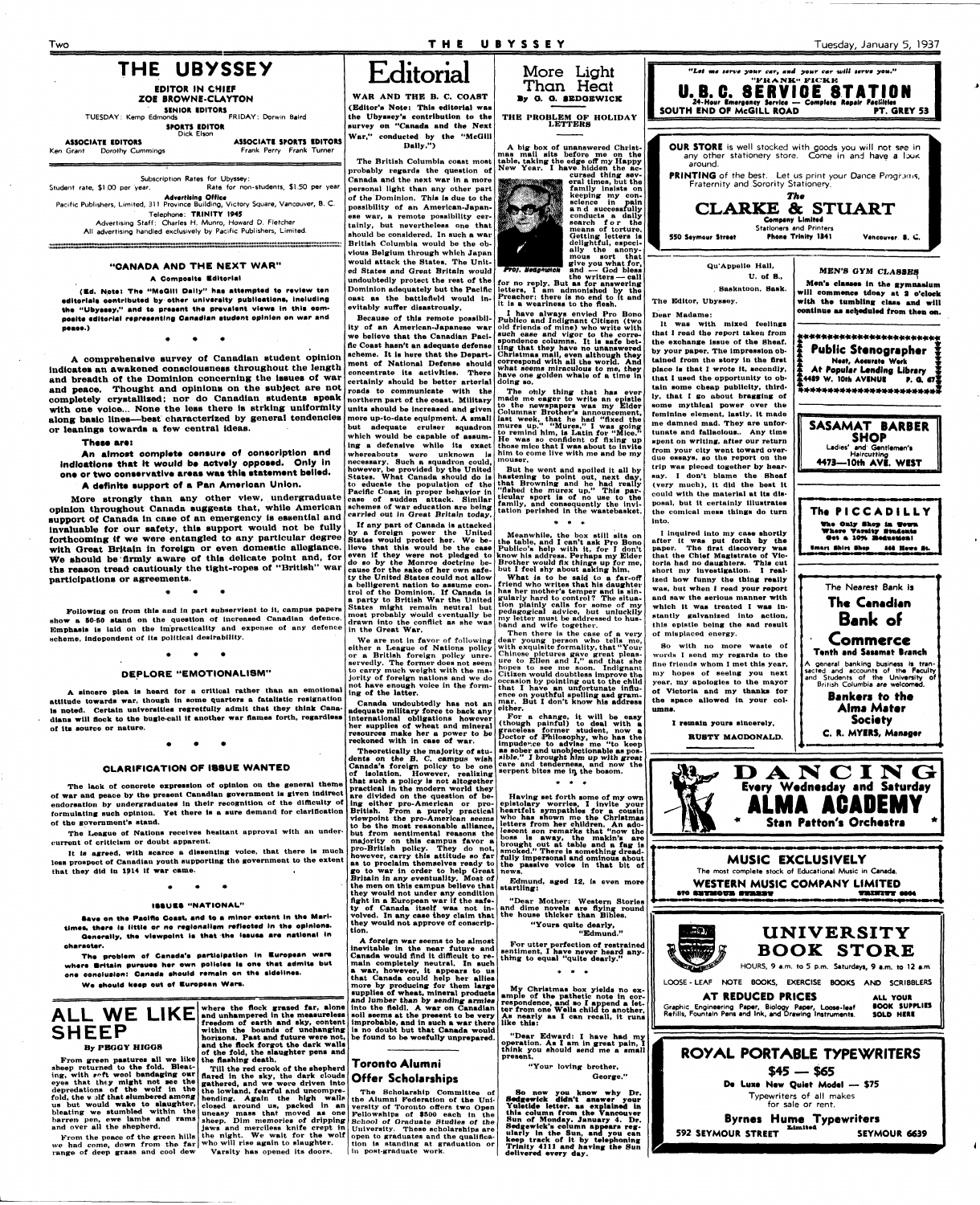#### **Two T H E UBYSSE Y Tuesday, January 5, 1937**

**SINIOR EDITORS**  TUESDAY: Kemp Edmonds FRIDAY: Dorwin Baird



**EDITOR IN CHIEF ZOE BROWNE-CLAYTON** 

**SPORTS EDITOR**  Dick Elson

Ken Grant Dorothy Cummings

**ASSOCIATE EDITORS ASSOCIATE SPORTS EDITORS**<br> **Grant** Dorothy Cummings **ASSOCIATE SPORTS EDITORS** 

Subscription Rates for Ubyssey:<br>Student rate, \$1.00 per year. Rate for nor Rate for non-students, \$1.50 per year. **Advertising Office**  Pacific Publishers, Limited, 311 Province Building, Victory Square, Vancouver, B. C. Telephone: **TRINITY 1945**  Advertising Staff: Charles H. Munro, Howard D. Fletcher All advertising handled exclusively by Pacific Publishers, Limited.

#### **"CANADA AND THE NEXT WAR"**

#### **A Composite Editorial**

**(Ed. Note: Ths "McQIII Dally" has attsmpted to review ten editorials contributed by other university publications, Including**  the "Ubyssey," and to present the prevalent views in this com**posite editorial representing Canadian studsnt opinion on** war **snd peaee.)** 

**• • \*** 

**A comprehensive survey of Canadian student opinion lndioates an awakened consciousness throughout the length and breadth of the Dominion concerning the Issues of war and peace. Thought and opinions on the subject are not completely crystallised; nor do Canadian students speak**  with one voice... None the less there is strking uniformity along basic lines—best characterized by general tendencies **or leanings towards a few central ideas.** 

#### **These are:**

**An almost oomplete oensure of oonsoription and indications that It would be aotvely opposed. Only In one or two oonservative areas was this statement belied. A definite support of a Pan Amerioan Union.** 

**More strongly than any other view, undergraduate opinion throughout Canada suggests that, while American support of Canada in case of an emergency Is essential and Invaluable for our safety, this support would not be fully forthcoming if we were entangled to any particular degree with Oreat Britain in foreign or even domestic allegiance. We should be firmly aware of this delicate point and, for ths reason tread cautiously the tight-ropes of "British" war participations or agreements.** 

**Following on from this and in part subservient to it, campus papers**  show a 50-50 stand on the question of increased Canadian defence. **Emphasis is laid on the im'practicality and expense ot any defence scheme, independent of its political desirability.** 

#### **DEPLORE "EMOTIONALISM"**

**A sincere plea is heard for a critical rather than an emotional attitude towards war, though in some quarters a fatalistic resignation Is noted. Certain universities regretfully admit that they think Canadians will flock to the bugle-call it another war flames forth, regardless of Its source or nature.** 

**Proj. Bedanwick mous sort that give you what for, and — God bless the writers — call** 

## **Editorial**

**WAR AND THE B. C. COAST (Editor's Note: This editorial was the Ubyssey's contribution to the survey on "Canada and the Next War," conducted by the "McGill Dally.")** 

**The British Columbia coast most probably regards the question of Canada and the next war in a more personal light than any other part of the Dominion. This is due to the possibility of an American-Japanese war, a remote possibility certainly, but nevertheless one that should be considered. In such a war British Columbia would be the obvious Belgium through which Japan would attack the States. The United States and Great Britain would undoubtedly protect the rest of the Dominion adequately but the Pacific oast as the battlefield would inevitably suffer disastrously,** 

**Because** *ot* **this remote possibility of an American-Japanese war we believe that the Canadian Pacific Coast hasn't an adequate defense**  scheme. It is here that the Depart**ment of National Defense should concentrate its activities. There certainly should be better arterial roads to communicate with the northern part of the coast. Military units should be increased and given**  units should be increased and given more up-to-date equipment. A small but adequate cruiser squadron which would be capable of assuming a defensive while its exact whereabouts were unknown is him to come live with me and be my moreabours were unknown ... mouser. **States. What Canada should do is to educate the population of the Pacific Coast in proper behavior in case of sudden attack. Similar schemes of war education are being carried out in Great Britain today.** 

**If any part of Canada is attacked by a foreign power the United States would protect her. We believe that this would be the case even if they were not pledged to do so by the Monroe doctrine because for the sake of her own safe-ty the United States could not allow a belligerent nation to assume control of the Dominion. If Canada is a party to British War the United States might remain neutral but most probably would eventually be drawn into the conflict as she was in the Great War.** 

**We are not In favor of following either a League of Nations policy or a British foreign policy unreservedly. The former does not seem to carry much weight with the majority of foreign nations and we do not have enough voice In the forming of the latter.** 

**Canada undoubtedly has not an adequate military force to back any international obligations however her supplies of wheat and mineral resources make her a power to be reckoned with In case of war.** 

**More Light** 



**CLARIFICATION OF ISSUE WANTED The lack ot concrete expression ot opinion on the general theme Theoretically the majority of students on the B. C. campus wish Canada's foreign policy to be one of isolation. However, realising that such a policy is not altogether • •• I>** *A.* **N C IN** 

**for no reply. But as for answering letters, I am admonished by the Preacher; there is no end to it and it is a weariness to the flesh.** 

**I have always envied Pro Bono Publico and Indignant Cltlsen (two old friends of mine) who write with such ease and vigor to the correspondence columns. It is safe bet-ting that they have no unanswered Christmas mail, even although they correspond with all the world. And what seems miraculous to me, they have one golden whale of a time in doing so.** 

**The only thing that has ever made me eager to write an epistle to the newspapers was my Elder Columnar Brother's announcement, last week, that he had "fixed the**  mures up." "Mures," I was going<br>to remind him, is Latin for "Mice. **He was so confident of fixing up those mice that I was about to invite** 

**But he went and spoiled it all by hastening to point out, next day, that Browning and he had really "fished the murex up." This par-ticular sport is of no use to the family, and consequently the invi-tation perished in the wastebasket.** 

**Meanwhile, the box still sits on the table, and I can't ask Pro Bono Publlco's help with it, for I don't know his address. Perhaps my Elder Brother would fix things up for me, but I feel shy about asking him.** 

**What is to be said to a far-off friend who writes that his daughter has her mother's temper and is sin-gularly hard to control ? The situation plainly calls for some of my pedagogical advice, but unluckily my letter must be addressed to hus-band and wife together.** 

**Then there is the case of a very dear young person who tells me, with exquisite formality, that "Your Chinese pictures gave great pleas-ure to Ellen and I," and that she hopes to see me soon. Indignant Citizen would doubtless Improve the occasion by pointing out to the child that I have an unfortunate influ-ence on youthful spelling asd gram-mar. But I don't know his address either.** 

For a change, it will be easy<br>(though painful) to deal with a graceless former student, now a<br>Doctor of Philosophy, who has the<br>impudence to advise me "to keep<br>as sober and unobjectionable as pos-<br>sible," I brought him up

**Every Wednesday and Saturday practical in the modern world they of war and peace by the present Canadian government is given indirect are divided on the question of be-Having set forth some of my own**  ALMA AC*i* **endorsatlon by undergraduates in their recognition of the difficulty of ing either pro-American or proepistolary worries, I invite your heartfelt sympathies for a cousin who has shown me the Christmas formulating such opinion. Yet there is a sure demand for clarification British. From a purely practical viewpoint the pro-American seems of the government's stand. letters from her children. An ado-lescent son remarks that "now the**  \* **Stan Patron's Orchestra**  A.N **to be the moat reasonable alliance, The League of Nations receives hesitant approval with an underbut from sentimental reasons the boss is away, the makin's are brought out at table and a fag is smoked." There is something dread-fully impersonal and ominous about majority on this campus favor a current ot criticism or doubt apparent. pro-British policy. They do not, It is agreed, with scarce a dissenting voice, that there is much however, carry this attitude so far MUSIC EXCLUSIVELY less prospect of Canadian youth supporting the government to the extent as to proclaim themselves ready to the passive voice in that bit of go to war in order to help Great news.**  The most complete stock of Educational Music in **Canada. that they did In 1914 if war came. Britain in any eventuality. Most of Edmund, aged 12, is even more**  WESTERN MUSIC COMPANY LIMITED<br>##YMOU# #YANNT **the men on this campus believe that startling: •TO ravaiovm » they would not under any condition fight in a European war if the safe-"Dear Mother: Western Stories**  • **••UB S "NATIONAL " ty of Canada itself was not inand dime novels are flying round the house thicker than Bibles. volved. In any case they claim that Save en** the **Pacific Coast, and to a minor extent In the Marlthey would not approve of conscrip-"Yours quite dearly, times, there Is little or no regionalism reflected In the opinions. UNIVERSITY tion. Generally, the viewpoint la that the issues are national In "Edmund." A foreign war seems to be almost For utter perfection of restrained charaeter. inevitable in the near future and BOOK STORE sentiment, I have never heard any-thing to equal "quite dearly." The problem of Canada'e participation In European ware Canada would find it difficult to remain completely neutral. In such where Britain pursues her own policies la one that admits but**  HOURS, 9 a.m. to 5 p.m. Saturdays, 9 a.m. to 12 a.m **one conclusion: Canada should remain en the sidelines. a war, however, it appears to us that Canada could help her allies**  LOOSE-LEAF NOTE BOOKS, EXERCISE **BOOKS** AND SCRIBBLERS **We should keep out of European Wars. more by producing for them large My Christmas box yields no exsupplies of wheat, mineral products ample of the pathetic note in cor-respondence, and so I append a let-ter from one Wells child to another. A T REDUCED PRICES ALL YOUR and lumber than by sending armies into the fleldl. A war on Canadian where the flock grazed far, alone**  Graphic Engineering **Paper,** Biology **Paper, Loose-leaf BOOK SUPPLIES**  Refills, Fountain Pens and Ink, **and** Drawing Instruments. **SOLD HEM ALL WE LIKE and unhampered in the measureless soil seems at the present to be very As nearly as I can recall, it runs improbable, and In such a war there freedom of earth and sky, content like this: SHEEP within the bounds of unchanging is no doubt but that Canada would "Dear Edward: I have had my be found to be woefully unprepared. horizons. Past and future were not, operation. As I am in great pain, I think you should send me a small present. and the flock forgot the dark walls By PEGGY HIGGS of the fold, the slaughter pens and ROYAL PORTABLE TYPEWRITERS From green pastures all we like the flashing death.**  Toronto Alumni sheep returned to the fold. Bleat-**"Your loving brother, Till the red crook of the shepherd \$45 — \$65 ing, with r«ft wool bandaging our flared in the sky, the dark clouds George."**  Offer Scholarships **eyes that they might not see the gathered, and we were driven into Do Luxe Now Quiet Model** — **\$75 depredations of the wolf in the the lowland, fearful and uncompre-So now you know why Dr. Sedgewick didn't answer your Yuletide letter, as explained In The Scholarship Committee of**  Typewriters of all makes hending. Again the high walls<br>closed around us, packed in an<br>uneasy mass that moved as one<br>sheep. Dim memories of dripping<br>jaws and merciless knife crept in<br>the night. We wait for the wolf **fold, the v jlf that slumbered among**  the Alumni Federation of the University of Toronto offers two Open<br>Fellowships of \$500 each in the<br>School of Graduate Studies of the<br>University. These scholarships are<br>open to graduates and the qualifica**us but would wake to slaughter,**  for sale or rent. **bleating we stumbled within the this column from the Vancouver barren pen, ewe lambs and rams**  Byrnes Hume Typewriters Sun of Monday. January 4. Dr. Sedgewick's column appears reg-<br>ularly in the Sun, and you can<br>keep track of it by telephoning<br>Trinity 4111 and having the Sun<br>delivered every day. **and over all the shepherd. XilmltaA 592 SEYMOUR STREET 41HOUR SEYMOUR 6639 From the peace of the green hills**  From the peace of the green nuise the *might*. We want for the will respect to the will rise again to slaughter. **tion is standing at graduation or range of deep grass and cool dew Varsity has opened its doors. in post-graduate work.** 



*"Let me terve your car, and your car will terve you."*  $"FIRANK" FICKE$ 

**Qu'Appelle Hall, U. of B.,** 

**. Saskatoon, Sank.** 

**The Editor, Ubyssey.** 

**Dear Madame:** 

**It was with mixed feelings that I read the report taken from the exchange issue of the Sheaf, by your paper. The impression obtained from the story In the first place is that I wrote it, secondly, that I used the opportunity to obtain some cheap publicity, thirdly, that I go about bragging of some mythical power over the feminine element, lastly, It made me damned mad. They are unfortunate and fallacious.. Any time spent on writing, after our return from your city went toward overdue essays, so the report on the trip was pieced together by bearsay. I don't blame the Sheaf (very much), it did the best It could with the material at Its disposal, but It certainly illustrates the comical meat things do turn into.** 

**I inquired into my case shortly after It was put forth by the paper. The first dlsoovery was that the Chief Magistrate of Victoria had no daughters. This cut short my Investigation. I realized how funny the thing really was, but when I read your report and saw the serious manner with which It was treated I was Instantly galvanized into action, this epistle being the sad result of misplaced energy.** 

**So with no more waste ot words I send my regards to the fine friends whom I met this year, my hopes of seeing you next year, my apologies to the mayor ot Victoria and my thanks for the space allowed In your columns.** 





#### **MEN'S GYM CLASSES**

**Men's classes in the gymnasium will commence tdoay at 2 o'clock with the tumbling class and will continue as scheduled from then on.** 



**Alma Matar Society**